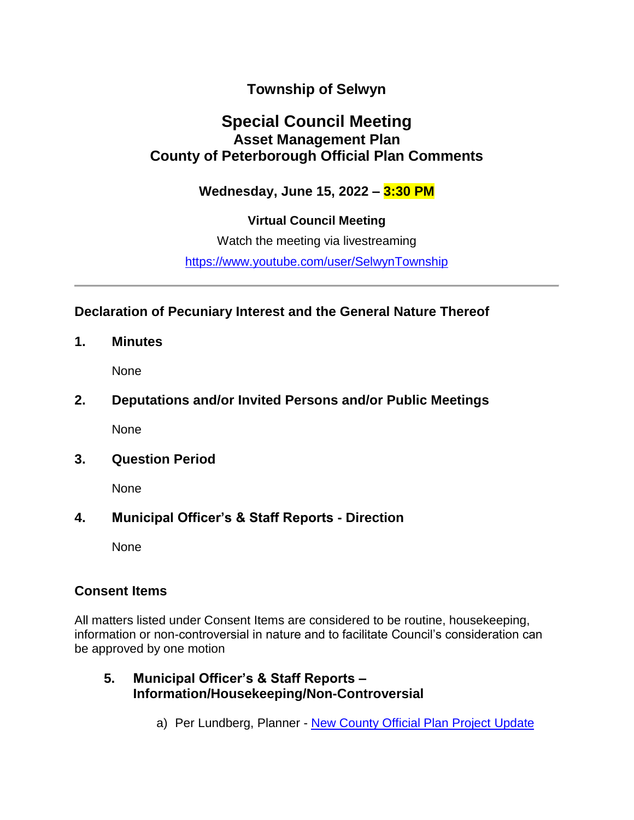# **Township of Selwyn**

# **Special Council Meeting Asset Management Plan County of Peterborough Official Plan Comments**

# **Wednesday, June 15, 2022 – 3:30 PM**

# **Virtual Council Meeting**

Watch the meeting via livestreaming

<https://www.youtube.com/user/SelwynTownship>

## **Declaration of Pecuniary Interest and the General Nature Thereof**

**1. Minutes**

None

# **2. Deputations and/or Invited Persons and/or Public Meetings**

None

# **3. Question Period**

None

# **4. Municipal Officer's & Staff Reports - Direction**

None

# **Consent Items**

All matters listed under Consent Items are considered to be routine, housekeeping, information or non-controversial in nature and to facilitate Council's consideration can be approved by one motion

## **5. Municipal Officer's & Staff Reports – Information/Housekeeping/Non-Controversial**

a) Per Lundberg, Planner - [New County Official Plan Project Update](https://townshipofselwyn.sharefile.com/d-sfe0ce503249d4099aa9d0f11f2d2e3fc)